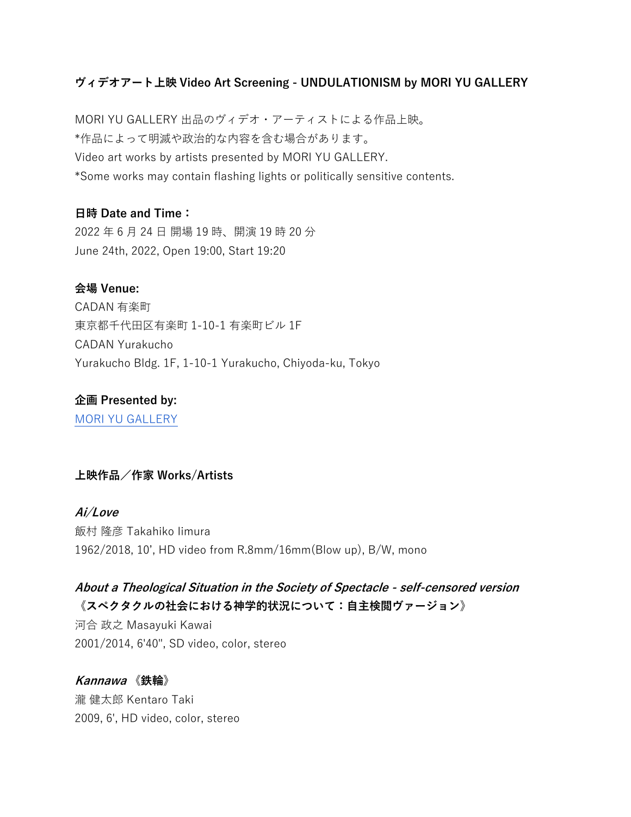#### **ヴィデオアート上映 Video Art Screening - UNDULATIONISM by MORI YU GALLERY**

MORI YU GALLERY 出品のヴィデオ・アーティストによる作品上映。 \*作品によって明滅や政治的な内容を含む場合があります。 Video art works by artists presented by MORI YU GALLERY. \*Some works may contain flashing lights or politically sensitive contents.

#### **⽇時 Date and Time:**

2022 年 6 ⽉ 24 ⽇ 開場 19 時、開演 19 時 20 分 June 24th, 2022, Open 19:00, Start 19:20

#### **会場 Venue:**

CADAN 有楽町 東京都千代⽥区有楽町 1-10-1 有楽町ビル 1F CADAN Yurakucho Yurakucho Bldg. 1F, 1-10-1 Yurakucho, Chiyoda-ku, Tokyo

**企画 Presented by:**  MORI YU GALLERY

#### **上映作品/作家 Works/Artists**

**Ai/Love** 飯村 隆彦 Takahiko Iimura 1962/2018, 10', HD video from R.8mm/16mm(Blow up), B/W, mono

#### **About a Theological Situation in the Society of Spectacle - self-censored version 《スペクタクルの社会における神学的状況について:⾃主検閲ヴァージョン》**

河合 政之 Masayuki Kawai 2001/2014, 6'40", SD video, color, stereo

# **Kannawa 《鉄輪》**

瀧 健太郎 Kentaro Taki 2009, 6', HD video, color, stereo